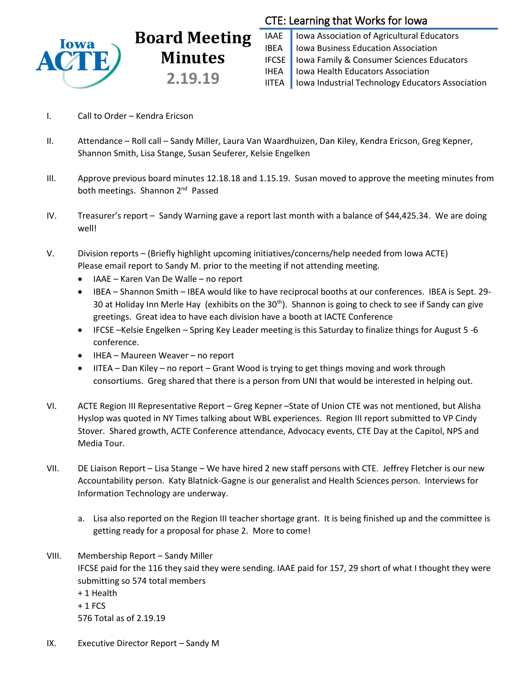

# **Board Meeting Minutes 2.19.19**

# CTE: Learning that Works for Iowa

IAAE | Iowa Association of Agricultural Educators **IBEA** | Iowa Business Education Association IFCSE Iowa Family & Consumer Sciences Educators IHEA | Iowa Health Educators Association IITEA | Iowa Industrial Technology Educators Association

- I. Call to Order Kendra Ericson
- II. Attendance Roll call Sandy Miller, Laura Van Waardhuizen, Dan Kiley, Kendra Ericson, Greg Kepner, Shannon Smith, Lisa Stange, Susan Seuferer, Kelsie Engelken
- III. Approve previous board minutes 12.18.18 and 1.15.19. Susan moved to approve the meeting minutes from both meetings. Shannon 2<sup>nd</sup> Passed
- IV. Treasurer's report Sandy Warning gave a report last month with a balance of \$44,425.34. We are doing well!
- V. Division reports (Briefly highlight upcoming initiatives/concerns/help needed from Iowa ACTE) Please email report to Sandy M. prior to the meeting if not attending meeting.
	- IAAE Karen Van De Walle no report
	- IBEA Shannon Smith IBEA would like to have reciprocal booths at our conferences. IBEA is Sept. 29-30 at Holiday Inn Merle Hay (exhibits on the  $30<sup>th</sup>$ ). Shannon is going to check to see if Sandy can give greetings. Great idea to have each division have a booth at IACTE Conference
	- IFCSE –Kelsie Engelken Spring Key Leader meeting is this Saturday to finalize things for August 5 -6 conference.
	- IHEA Maureen Weaver no report
	- IITEA Dan Kiley no report Grant Wood is trying to get things moving and work through consortiums. Greg shared that there is a person from UNI that would be interested in helping out.
- VI. ACTE Region III Representative Report Greg Kepner –State of Union CTE was not mentioned, but Alisha Hyslop was quoted in NY Times talking about WBL experiences. Region III report submitted to VP Cindy Stover. Shared growth, ACTE Conference attendance, Advocacy events, CTE Day at the Capitol, NPS and Media Tour.
- VII. DE Liaison Report Lisa Stange We have hired 2 new staff persons with CTE. Jeffrey Fletcher is our new Accountability person. Katy Blatnick-Gagne is our generalist and Health Sciences person. Interviews for Information Technology are underway.
	- a. Lisa also reported on the Region III teacher shortage grant. It is being finished up and the committee is getting ready for a proposal for phase 2. More to come!
- VIII. Membership Report Sandy Miller IFCSE paid for the 116 they said they were sending. IAAE paid for 157, 29 short of what I thought they were submitting so 574 total members + 1 Health  $+1$  FCS 576 Total as of 2.19.19
- IX. Executive Director Report Sandy M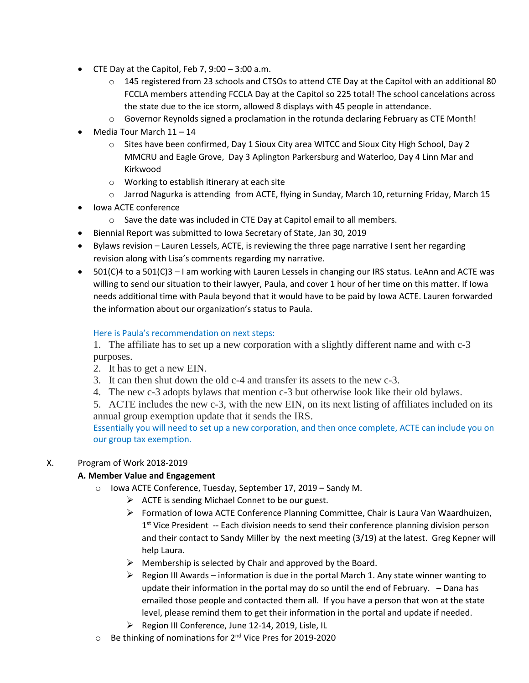- $\bullet$  CTE Day at the Capitol, Feb 7, 9:00 3:00 a.m.
	- $\circ$  145 registered from 23 schools and CTSOs to attend CTE Day at the Capitol with an additional 80 FCCLA members attending FCCLA Day at the Capitol so 225 total! The school cancelations across the state due to the ice storm, allowed 8 displays with 45 people in attendance.
	- $\circ$  Governor Reynolds signed a proclamation in the rotunda declaring February as CTE Month!
- Media Tour March 11 14
	- o Sites have been confirmed, Day 1 Sioux City area WITCC and Sioux City High School, Day 2 MMCRU and Eagle Grove, Day 3 Aplington Parkersburg and Waterloo, Day 4 Linn Mar and Kirkwood
	- o Working to establish itinerary at each site
	- o Jarrod Nagurka is attending from ACTE, flying in Sunday, March 10, returning Friday, March 15
- lowa ACTE conference
	- o Save the date was included in CTE Day at Capitol email to all members.
- Biennial Report was submitted to Iowa Secretary of State, Jan 30, 2019
- Bylaws revision Lauren Lessels, ACTE, is reviewing the three page narrative I sent her regarding revision along with Lisa's comments regarding my narrative.
- 501(C)4 to a 501(C)3 I am working with Lauren Lessels in changing our IRS status. LeAnn and ACTE was willing to send our situation to their lawyer, Paula, and cover 1 hour of her time on this matter. If Iowa needs additional time with Paula beyond that it would have to be paid by Iowa ACTE. Lauren forwarded the information about our organization's status to Paula.

# Here is Paula's recommendation on next steps:

1. The affiliate has to set up a new corporation with a slightly different name and with c-3 purposes.

- 2. It has to get a new EIN.
- 3. It can then shut down the old c-4 and transfer its assets to the new c-3.
- 4. The new c-3 adopts bylaws that mention c-3 but otherwise look like their old bylaws.

5. ACTE includes the new c-3, with the new EIN, on its next listing of affiliates included on its annual group exemption update that it sends the IRS.

Essentially you will need to set up a new corporation, and then once complete, ACTE can include you on our group tax exemption.

# X. Program of Work 2018-2019

# **A. Member Value and Engagement**

- o Iowa ACTE Conference, Tuesday, September 17, 2019 Sandy M.
	- $\triangleright$  ACTE is sending Michael Connet to be our guest.
	- $\triangleright$  Formation of Iowa ACTE Conference Planning Committee, Chair is Laura Van Waardhuizen, 1<sup>st</sup> Vice President -- Each division needs to send their conference planning division person and their contact to Sandy Miller by the next meeting (3/19) at the latest. Greg Kepner will help Laura.
	- $\triangleright$  Membership is selected by Chair and approved by the Board.
	- $\triangleright$  Region III Awards information is due in the portal March 1. Any state winner wanting to update their information in the portal may do so until the end of February. – Dana has emailed those people and contacted them all. If you have a person that won at the state level, please remind them to get their information in the portal and update if needed.
	- ▶ Region III Conference, June 12-14, 2019, Lisle, IL
- o Be thinking of nominations for 2<sup>nd</sup> Vice Pres for 2019-2020